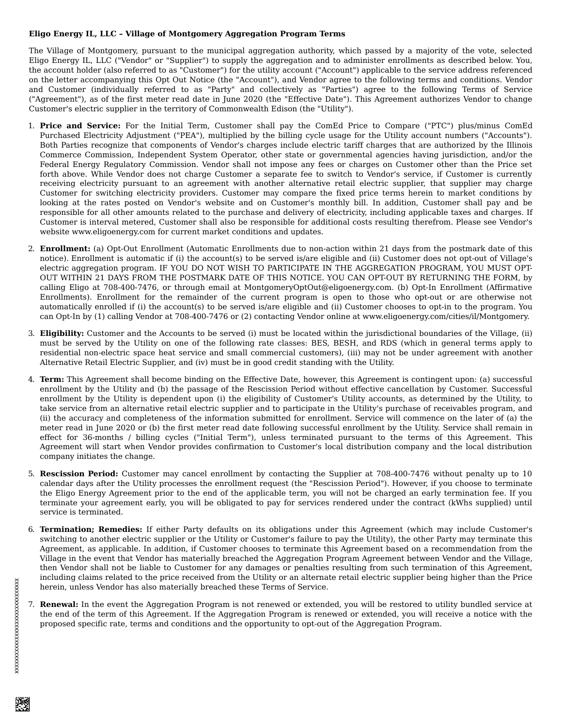## **Eligo Energy IL, LLC – Village of Montgomery Aggregation Program Terms**

The Village of Montgomery, pursuant to the municipal aggregation authority, which passed by a majority of the vote, selected Eligo Energy IL, LLC ("Vendor" or "Supplier") to supply the aggregation and to administer enrollments as described below. You, the account holder (also referred to as "Customer") for the utility account ("Account") applicable to the service address referenced on the letter accompanying this Opt Out Notice (the "Account"), and Vendor agree to the following terms and conditions. Vendor and Customer (individually referred to as "Party" and collectively as "Parties") agree to the following Terms of Service ("Agreement"), as of the first meter read date in June 2020 (the "Effective Date"). This Agreement authorizes Vendor to change Customer's electric supplier in the territory of Commonwealth Edison (the "Utility").

- 1. **Price and Service:** For the Initial Term, Customer shall pay the ComEd Price to Compare ("PTC") plus/minus ComEd Purchased Electricity Adjustment ("PEA"), multiplied by the billing cycle usage for the Utility account numbers ("Accounts"). Both Parties recognize that components of Vendor's charges include electric tariff charges that are authorized by the Illinois Commerce Commission, Independent System Operator, other state or governmental agencies having jurisdiction, and/or the Federal Energy Regulatory Commission. Vendor shall not impose any fees or charges on Customer other than the Price set forth above. While Vendor does not charge Customer a separate fee to switch to Vendor's service, if Customer is currently receiving electricity pursuant to an agreement with another alternative retail electric supplier, that supplier may charge Customer for switching electricity providers. Customer may compare the fixed price terms herein to market conditions by looking at the rates posted on Vendor's website and on Customer's monthly bill. In addition, Customer shall pay and be responsible for all other amounts related to the purchase and delivery of electricity, including applicable taxes and charges. If Customer is interval metered, Customer shall also be responsible for additional costs resulting therefrom. Please see Vendor's website www.eligoenergy.com for current market conditions and updates.
- 2. **Enrollment:** (a) Opt-Out Enrollment (Automatic Enrollments due to non-action within 21 days from the postmark date of this notice). Enrollment is automatic if (i) the account(s) to be served is/are eligible and (ii) Customer does not opt-out of Village's electric aggregation program. IF YOU DO NOT WISH TO PARTICIPATE IN THE AGGREGATION PROGRAM, YOU MUST OPT-OUT WITHIN 21 DAYS FROM THE POSTMARK DATE OF THIS NOTICE. YOU CAN OPT-OUT BY RETURNING THE FORM, by calling Eligo at 708-400-7476, or through email at MontgomeryOptOut@eligoenergy.com. (b) Opt-In Enrollment (Affirmative Enrollments). Enrollment for the remainder of the current program is open to those who opt-out or are otherwise not automatically enrolled if (i) the account(s) to be served is/are eligible and (ii) Customer chooses to opt-in to the program. You can Opt-In by (1) calling Vendor at 708-400-7476 or (2) contacting Vendor online at www.eligoenergy.com/cities/il/Montgomery.
- 3. **Eligibility:** Customer and the Accounts to be served (i) must be located within the jurisdictional boundaries of the Village, (ii) must be served by the Utility on one of the following rate classes: BES, BESH, and RDS (which in general terms apply to residential non-electric space heat service and small commercial customers), (iii) may not be under agreement with another Alternative Retail Electric Supplier, and (iv) must be in good credit standing with the Utility.
- 4. **Term:** This Agreement shall become binding on the Effective Date, however, this Agreement is contingent upon: (a) successful enrollment by the Utility and (b) the passage of the Rescission Period without effective cancellation by Customer. Successful enrollment by the Utility is dependent upon (i) the eligibility of Customer's Utility accounts, as determined by the Utility, to take service from an alternative retail electric supplier and to participate in the Utility's purchase of receivables program, and (ii) the accuracy and completeness of the information submitted for enrollment. Service will commence on the later of (a) the meter read in June 2020 or (b) the first meter read date following successful enrollment by the Utility. Service shall remain in effect for 36-months / billing cycles ("Initial Term"), unless terminated pursuant to the terms of this Agreement. This Agreement will start when Vendor provides confirmation to Customer's local distribution company and the local distribution company initiates the change.
- 5. **Rescission Period:** Customer may cancel enrollment by contacting the Supplier at 708-400-7476 without penalty up to 10 calendar days after the Utility processes the enrollment request (the "Rescission Period"). However, if you choose to terminate the Eligo Energy Agreement prior to the end of the applicable term, you will not be charged an early termination fee. If you terminate your agreement early, you will be obligated to pay for services rendered under the contract (kWhs supplied) until service is terminated.
- 6. **Termination; Remedies:** If either Party defaults on its obligations under this Agreement (which may include Customer's switching to another electric supplier or the Utility or Customer's failure to pay the Utility), the other Party may terminate this Agreement, as applicable. In addition, if Customer chooses to terminate this Agreement based on a recommendation from the Village in the event that Vendor has materially breached the Aggregation Program Agreement between Vendor and the Village, then Vendor shall not be liable to Customer for any damages or penalties resulting from such termination of this Agreement, including claims related to the price received from the Utility or an alternate retail electric supplier being higher than the Price herein, unless Vendor has also materially breached these Terms of Service.
- 7. **Renewal:** In the event the Aggregation Program is not renewed or extended, you will be restored to utility bundled service at the end of the term of this Agreement. If the Aggregation Program is renewed or extended, you will receive a notice with the proposed specific rate, terms and conditions and the opportunity to opt-out of the Aggregation Program.